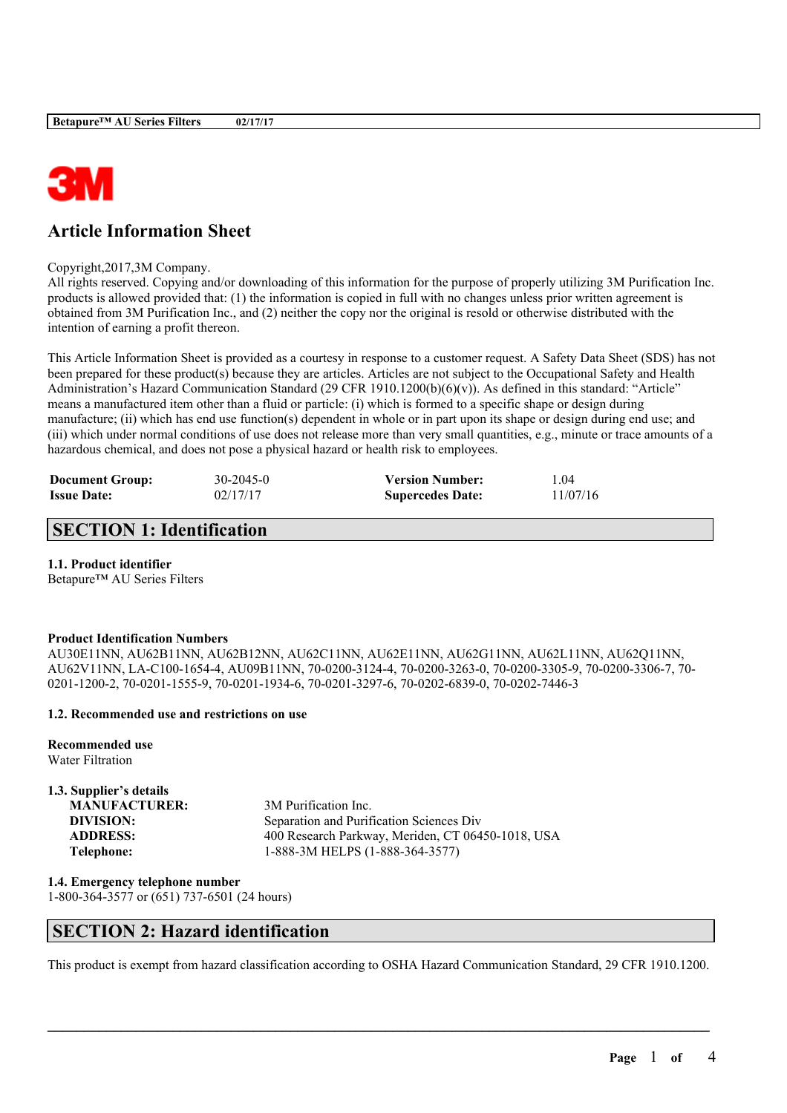

# **Article Information Sheet**

#### Copyright,2017,3M Company.

All rights reserved. Copying and/or downloading of this information for the purpose of properly utilizing 3M Purification Inc. products is allowed provided that: (1) the information is copied in full with no changes unless prior written agreement is obtained from 3M Purification Inc., and (2) neither the copy nor the original is resold or otherwise distributed with the intention of earning a profit thereon.

This Article Information Sheet is provided as a courtesy in response to a customer request. A Safety Data Sheet (SDS) has not been prepared for these product(s) because they are articles. Articles are not subject to the Occupational Safety and Health Administration's Hazard Communication Standard (29 CFR 1910.1200(b)(6)(v)). As defined in this standard: "Article" means a manufactured item other than a fluid or particle: (i) which is formed to a specific shape or design during manufacture; (ii) which has end use function(s) dependent in whole or in part upon its shape or design during end use; and (iii) which under normal conditions of use does not release more than very small quantities, e.g., minute or trace amounts of a hazardous chemical, and does not pose a physical hazard or health risk to employees.

| <b>Document Group:</b> | $30 - 2045 - 0$ | <b>Version Number:</b>  | l.04     |
|------------------------|-----------------|-------------------------|----------|
| <b>Issue Date:</b>     | 02/17/17        | <b>Supercedes Date:</b> | 11/07/16 |

# **SECTION 1: Identification**

### **1.1. Product identifier**

Betapure™ AU Series Filters

### **Product Identification Numbers**

AU30E11NN, AU62B11NN, AU62B12NN, AU62C11NN, AU62E11NN, AU62G11NN, AU62L11NN, AU62Q11NN, AU62V11NN, LA-C100-1654-4, AU09B11NN, 70-0200-3124-4, 70-0200-3263-0, 70-0200-3305-9, 70-0200-3306-7, 70- 0201-1200-2, 70-0201-1555-9, 70-0201-1934-6, 70-0201-3297-6, 70-0202-6839-0, 70-0202-7446-3

### **1.2. Recommended use and restrictions on use**

**Recommended use** Water Filtration

### **1.3. Supplier's details**

**MANUFACTURER:** 3M Purification Inc. **DIVISION:** Separation and Purification Sciences Div **ADDRESS:** 400 Research Parkway, Meriden, CT 06450-1018, USA **Telephone:** 1-888-3M HELPS (1-888-364-3577)

**1.4. Emergency telephone number** 1-800-364-3577 or (651) 737-6501 (24 hours)

## **SECTION 2: Hazard identification**

This product is exempt from hazard classification according to OSHA Hazard Communication Standard, 29 CFR 1910.1200.

 $\mathcal{L}_\mathcal{L} = \mathcal{L}_\mathcal{L} = \mathcal{L}_\mathcal{L} = \mathcal{L}_\mathcal{L} = \mathcal{L}_\mathcal{L} = \mathcal{L}_\mathcal{L} = \mathcal{L}_\mathcal{L} = \mathcal{L}_\mathcal{L} = \mathcal{L}_\mathcal{L} = \mathcal{L}_\mathcal{L} = \mathcal{L}_\mathcal{L} = \mathcal{L}_\mathcal{L} = \mathcal{L}_\mathcal{L} = \mathcal{L}_\mathcal{L} = \mathcal{L}_\mathcal{L} = \mathcal{L}_\mathcal{L} = \mathcal{L}_\mathcal{L}$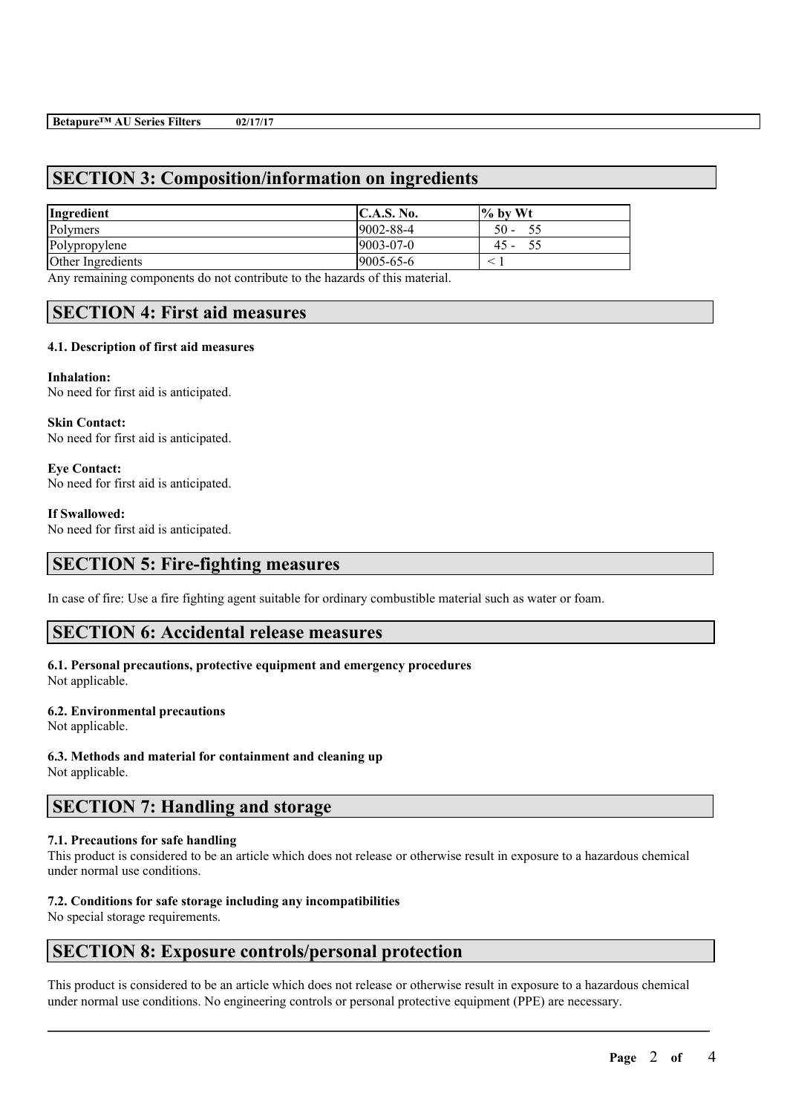# **SECTION 3: Composition/information on ingredients**

| <b>C.A.S. No.</b> | $\frac{6}{10}$ by Wt           |
|-------------------|--------------------------------|
| $9002 - 88 - 4$   | 50<br>$\overline{\phantom{a}}$ |
| $9003 - 07 - 0$   | 45<br>$\overline{\phantom{0}}$ |
| 9005-65-6         |                                |
|                   |                                |

Any remaining components do not contribute to the hazards of this material.

# **SECTION 4: First aid measures**

## **4.1. Description of first aid measures**

**Inhalation:** No need for first aid is anticipated.

**Skin Contact:** No need for first aid is anticipated.

**Eye Contact:** No need for first aid is anticipated.

### **If Swallowed:**

No need for first aid is anticipated.

## **SECTION 5: Fire-fighting measures**

In case of fire: Use a fire fighting agent suitable for ordinary combustible material such as water or foam.

## **SECTION 6: Accidental release measures**

## **6.1. Personal precautions, protective equipment and emergency procedures**

Not applicable.

### **6.2. Environmental precautions**

Not applicable.

**6.3. Methods and material for containment and cleaning up**

Not applicable.

# **SECTION 7: Handling and storage**

### **7.1. Precautions for safe handling**

This product is considered to be an article which does not release or otherwise result in exposure to a hazardous chemical under normal use conditions.

### **7.2. Conditions for safe storage including any incompatibilities**

No special storage requirements.

## **SECTION 8: Exposure controls/personal protection**

This product is considered to be an article which does not release or otherwise result in exposure to a hazardous chemical under normal use conditions. No engineering controls or personal protective equipment (PPE) are necessary.

 $\mathcal{L}_\mathcal{L} = \mathcal{L}_\mathcal{L} = \mathcal{L}_\mathcal{L} = \mathcal{L}_\mathcal{L} = \mathcal{L}_\mathcal{L} = \mathcal{L}_\mathcal{L} = \mathcal{L}_\mathcal{L} = \mathcal{L}_\mathcal{L} = \mathcal{L}_\mathcal{L} = \mathcal{L}_\mathcal{L} = \mathcal{L}_\mathcal{L} = \mathcal{L}_\mathcal{L} = \mathcal{L}_\mathcal{L} = \mathcal{L}_\mathcal{L} = \mathcal{L}_\mathcal{L} = \mathcal{L}_\mathcal{L} = \mathcal{L}_\mathcal{L}$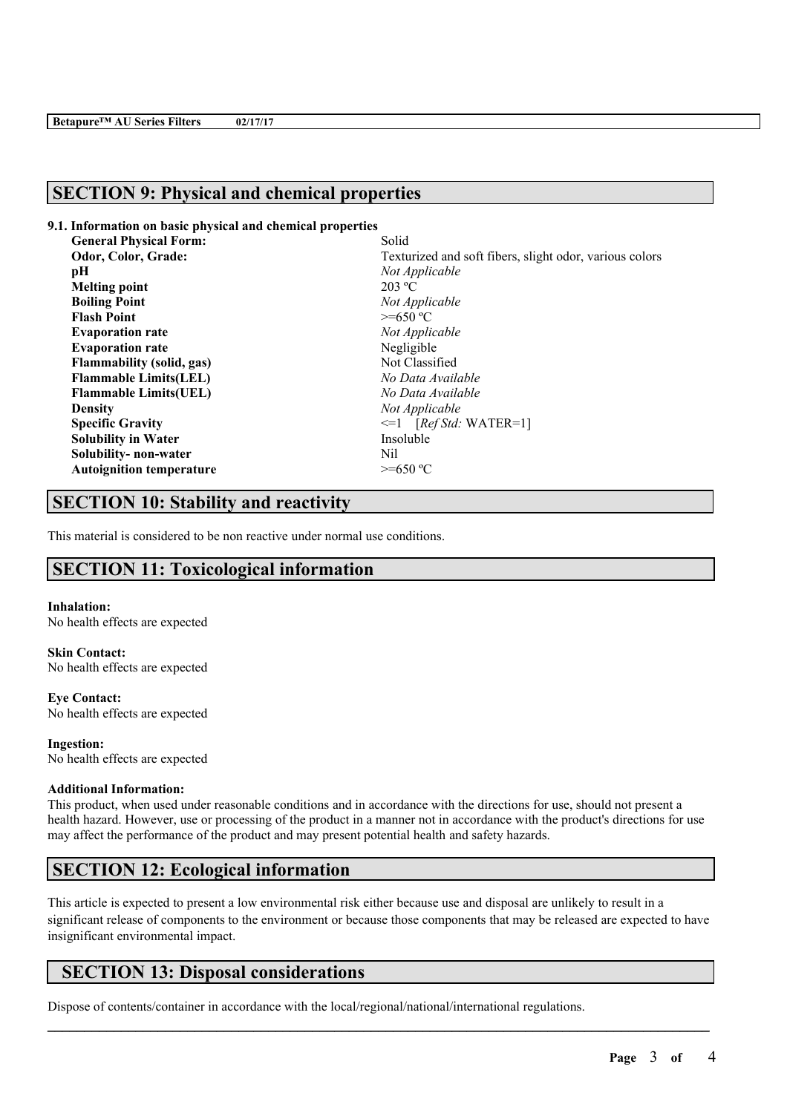# **SECTION 9: Physical and chemical properties**

### **9.1. Information on basic physical and chemical properties**

| <b>General Physical Form:</b>    | Solid                                                   |
|----------------------------------|---------------------------------------------------------|
| Odor, Color, Grade:              | Texturized and soft fibers, slight odor, various colors |
| pН                               | Not Applicable                                          |
| <b>Melting point</b>             | 203 °C                                                  |
| <b>Boiling Point</b>             | Not Applicable                                          |
| <b>Flash Point</b>               | $>=650 °C$                                              |
| <b>Evaporation rate</b>          | Not Applicable                                          |
| <b>Evaporation rate</b>          | Negligible                                              |
| <b>Flammability (solid, gas)</b> | Not Classified                                          |
| <b>Flammable Limits(LEL)</b>     | No Data Available                                       |
| <b>Flammable Limits (UEL)</b>    | No Data Available                                       |
| <b>Density</b>                   | Not Applicable                                          |
| <b>Specific Gravity</b>          | $\leq 1$ [Ref Std: WATER=1]                             |
| <b>Solubility in Water</b>       | Insoluble                                               |
| Solubility- non-water            | Nil                                                     |
| <b>Autoignition temperature</b>  | $>=650 °C$                                              |

# **SECTION 10: Stability and reactivity**

This material is considered to be non reactive under normal use conditions.

# **SECTION 11: Toxicological information**

**Inhalation:** No health effects are expected

**Skin Contact:** No health effects are expected

**Eye Contact:** No health effects are expected

**Ingestion:** No health effects are expected

### **Additional Information:**

This product, when used under reasonable conditions and in accordance with the directions for use, should not present a health hazard. However, use or processing of the product in a manner not in accordance with the product's directions for use may affect the performance of the product and may present potential health and safety hazards.

## **SECTION 12: Ecological information**

This article is expected to present a low environmental risk either because use and disposal are unlikely to result in a significant release of components to the environment or because those components that may be released are expected to have insignificant environmental impact.

 $\mathcal{L}_\mathcal{L} = \mathcal{L}_\mathcal{L} = \mathcal{L}_\mathcal{L} = \mathcal{L}_\mathcal{L} = \mathcal{L}_\mathcal{L} = \mathcal{L}_\mathcal{L} = \mathcal{L}_\mathcal{L} = \mathcal{L}_\mathcal{L} = \mathcal{L}_\mathcal{L} = \mathcal{L}_\mathcal{L} = \mathcal{L}_\mathcal{L} = \mathcal{L}_\mathcal{L} = \mathcal{L}_\mathcal{L} = \mathcal{L}_\mathcal{L} = \mathcal{L}_\mathcal{L} = \mathcal{L}_\mathcal{L} = \mathcal{L}_\mathcal{L}$ 

# **SECTION 13: Disposal considerations**

Dispose of contents/container in accordance with the local/regional/national/international regulations.